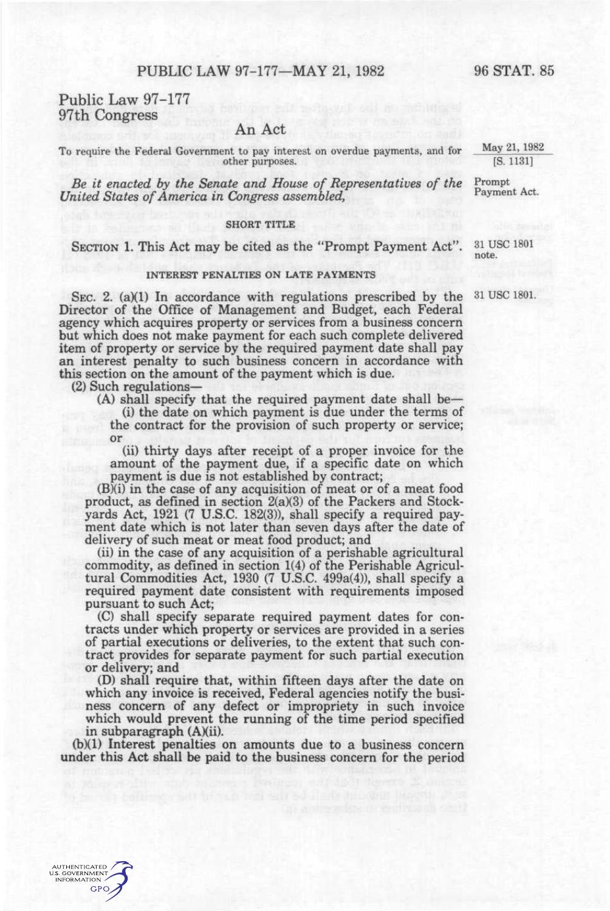# PUBLIC LAW 97-177-MAY 21, 1982 96 STAT. 85

Public Law 97-177 97th Congress

## An Act

To require the Federal Government to pay interest on overdue payments, and for  $May 21, 1982$ <br>other purposes.  $(5. 1131)$ other purposes.

*Be it enacted by the Senate and House of Representatives of the* Prompt *United States of America in Congress assembled.* 

### **SHORT TITLE**

SECTION 1. This Act may be cited as the "Prompt Payment Act".  $31 \text{ USC } 1801$ 

#### INTEREST PENALTIES ON LATE PAYMENTS **INTEREST PENALTIES ON LATE PAYMENTS**

SEC. 2. (a)(1) In accordance with regulations prescribed by the  $\frac{31}{180}$  use I801. Director of the Office of Management and Budget, each Federal agency which acquires property or services from a business concern but which does not make payment for each such complete delivered item of property or service by the required payment date shall pay an interest penalty to such business concern in accordance with this section on the amount of the payment which is due.

(2) Such regulations—

**AUTHENTICATED U.S. GOVERNMENT INFORMATION GPO** 

(A) shadl specify that the required payment date shall be— (i) the date on which payment is due under the terms of the contract for the provision of such property or service; or

(ii) thirty days after receipt of a proper invoice for the amount of the payment due, if a specific date on which payment is due is not established by contract;

(B)(i) in the case of any acquisition of meat or of a meat food product, as defined in section 2(a)(3) of the Packers and Stockyards Act, 1921 (7 U.S.C. 182(3)), shall specify a required payment date which is not later than seven days after the date of delivery of such meat or meat food product; and

(ii) in the case of any acquisition of a perishable agricultural commodity, as defined in section 1(4) of the Perishable Agricultural Commodities Act, 1930 (7 U.S.C. 499a(4)), shall specify a required payment date consistent with requirements imposed pursuant to such Act;

(C) shall specify separate required payment dates for contracts under which property or services are provided in a series of partial executions or deliveries, to the extent that such contract provides for separate payment for such partial execution or delivery; and

(D) shall require that, within fifteen days after the date on which any invoice is received. Federal agencies notify the business concern of any defect or impropriety in such invoice which would prevent the running of the time period specified in subparagraph  $(A)(ii)$ .

(b)(1) Interest penalties on amounts due to a business concern under this Act shall be paid to the business concern for the period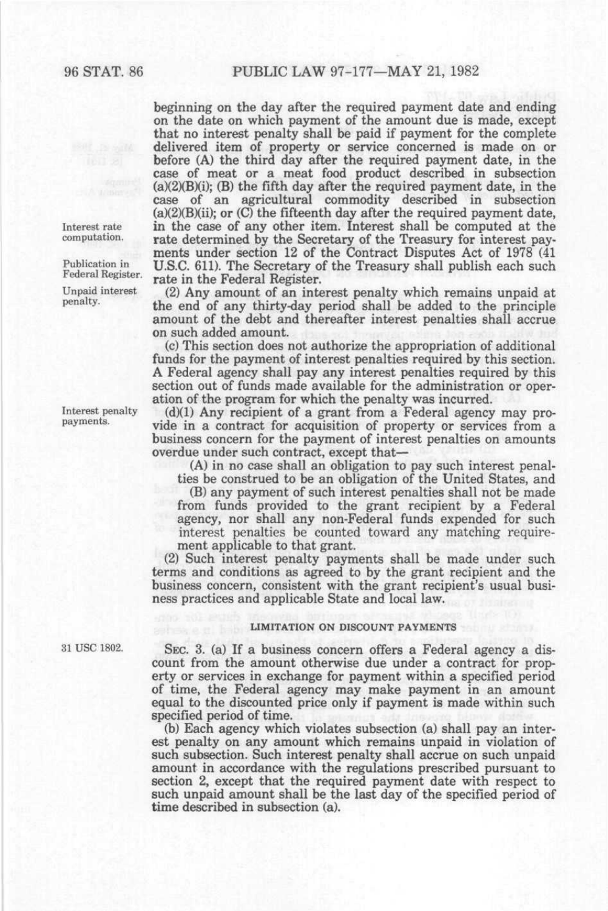Interest rate computation.

Publication in Federal Register.

Unpaid interest penalty.

Interest penalty payments.

beginning on the day after the required payment date and ending on the date on which payment of the amount due is made, except that no interest penalty shall be paid if payment for the complete delivered item of property or service concerned is made on or before (A) the third day after the required payment date, in the case of meat or a meat food product described in subsection  $(a)(2)(B)(i)$ ; (B) the fifth day after the required payment date, in the case of an agricultural commodity described in subsection (a)(2)(B)(ii); or (C) the fifteenth day after the required payment date, in the case of any other item. Interest shall be computed at the rate determined by the Secretary of the Treasury for interest payments under section 12 of the Contract Disputes Act of 1978 (41 U.S.C. 611). The Secretary of the Treasury shall publish each such rate in the Federal Register.

(2) Any amount of an interest penalty which remains unpaid at the end of any thirty-day period shall be added to the principle amount of the debt and thereafter interest penalties shall accrue on such added amount.

(c) This section does not authorize the appropriation of additional funds for the payment of interest penalties required by this section. A Federal agency shall pay any interest penalties required by this section out of funds made available for the administration or operation of the program for which the penalty was incurred.

(d)(1) Any recipient of a grant from a Federal agency may provide in a contract for acquisition of property or services from a business concern for the payment of interest penalties on amounts overdue under such contract, except that—

(A) in no case shall an obligation to pay such interest penalties be construed to be an obligation of the United States, and

(B) any payment of such interest penalties shall not be made from funds provided to the grant recipient by a Federal agency, nor shall any non-Federal funds expended for such interest penalties be counted toward any matching requirement applicable to that grant.

(2) Such interest penalty payments shall be made under such terms and conditions as agreed to by the grant recipient and the business concern, consistent with the grant recipient's usual business practices and applicable State and local law.

## LIMITATION ON DISCOUNT PAYMENTS

31 USC 1802. SEC. 3. (a) If a business concern offers a Federal agency a discount from the amount otherwise due under a contract for property or services in exchange for payment within a specified period of time, the Federal agency may make payment in an amount equal to the discounted price only if payment is made within such specified period of time.

> (b) Each agency which violates subsection (a) shall pay an interest penalty on any amount which remains unpaid in violation of such subsection. Such interest penalty shall accrue on such unpaid amount in accordance with the regulations prescribed pursuant to section 2, except that the required payment date with respect to such unpaid amount shall be the last day of the specified period of time described in subsection (a).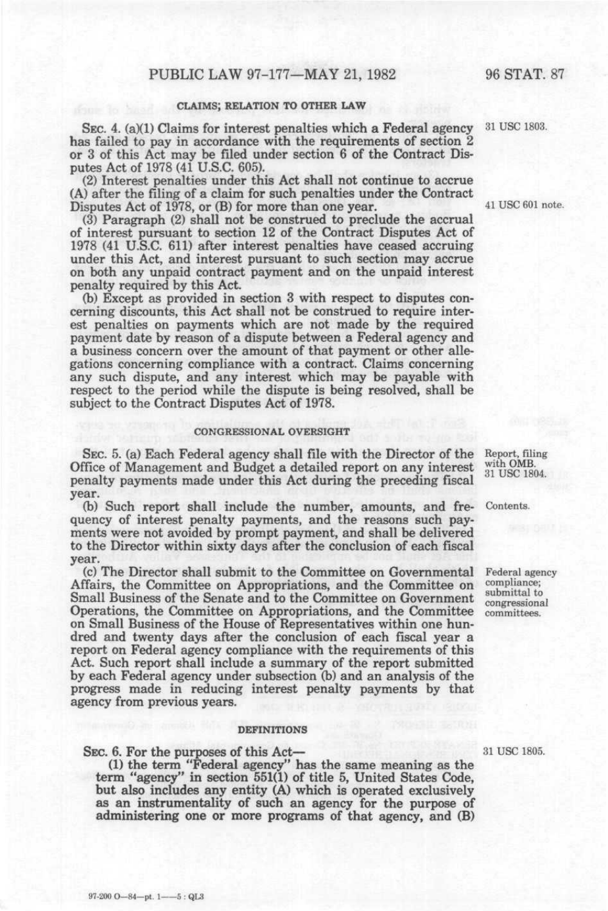## CLAIMS; RELATION TO OTHER LAW

SEC. 4. (a)(1) Claims for interest penalties which a Federal agency has failed to pay in accordance with the requirements of section 2 or 3 of this Act may be filed under section 6 of the Contract Disputes Act of 1978 (41 U.S.C. 605).

(2) Interest penalties under this Act shall not continue to accrue (A) after the filing of a claim for such penalties under the Contract Disputes Act of 1978, or (B) for more than one year.

(3) Paragraph (2) shall not be construed to preclude the accrual of interest pursuant to section 12 of the Contract Disputes Act of 1978 (41 U.S.C. 611) after interest penalties have ceased accruing under this Act, and interest pursuant to such section may accrue on both any unpaid contract payment and on the unpaid interest penalty required by this Act.

(b) Except as provided in section 3 with respect to disputes concerning discounts, this Act shall not be construed to require interest penalties on payments which are not made by the required payment date by reason of a dispute between a Federal agency and a business concern over the amount of that payment or other allegations concerning compliance with a contract. Claims concerning any such dispute, and any interest which may be payable with respect to the period while the dispute is being resolved, shall be subject to the Contract Disputes Act of 1978.

#### CONGRESSIONAL OVERSIGHT

SEC. 5. (a) Each Federal agency shall file with the Director of the Office of Management and Budget a detailed report on any interest penalty payments made under this Act during the preceding fiscal year.

(b) Such report shall include the number, amounts, and fre- Contents. quency of interest penalty payments, and the reasons such payments were not avoided by prompt payment, and shall be delivered to the Director within sixty days after the conclusion of each fiscal year.

(c) The Director shall submit to the Committee on Governmental Affairs, the C!ommittee on Appropriations, and the Committee on Small Business of the Senate and to the Committee on Government Operations, the Committee on Appropriations, and the Committee on Small Business of the House of Representatives within one hundred and twenty days after the conclusion of each fiscal year a report on Federal agency compliance with the requirements of this Act. Such report shall include a summary of the report submitted by each Federal agency under subsection (b) and an analysis of the progress made in reducing interest penalty payments by that agency from previous years.

#### DEFINITIONS

SEC. 6. For the purposes of this Act—

97-200 O-84-pt. 1--5: QL3

(1) the term "Federal agency" has the same meaning as the term "agency" in section 551(1) of title 5, United States Code, but also includes any entity (A) which is operated exclusively as an instrumentality of such an agency for the purpose of administering one or more programs of that agency, and (B)

31 USC 1805.

Report, filing with 0MB. 31 USC 1804.

Federal agency compliance; submittal to congressional

committees.

31 USC 1803.

41 USC 601 note.